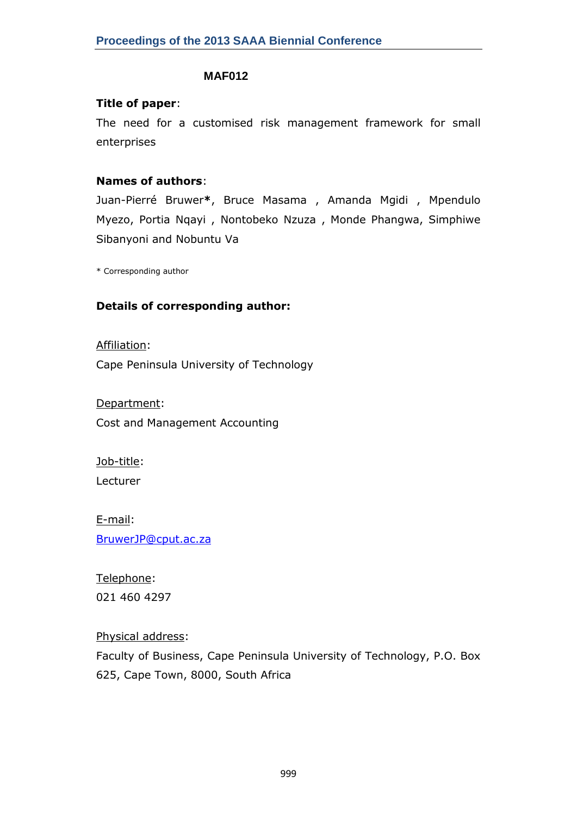#### **MAF012**

#### **Title of paper**:

The need for a customised risk management framework for small enterprises

### **Names of authors**:

Juan-Pierré Bruwer**\***, Bruce Masama , Amanda Mgidi , Mpendulo Myezo, Portia Nqayi , Nontobeko Nzuza , Monde Phangwa, Simphiwe Sibanyoni and Nobuntu Va

\* Corresponding author

### **Details of corresponding author:**

Affiliation:

Cape Peninsula University of Technology

Department: Cost and Management Accounting

Job-title: Lecturer

E-mail: [BruwerJP@cput.ac.za](mailto:BruwerJP@cput.ac.za)

Telephone: 021 460 4297

Physical address:

Faculty of Business, Cape Peninsula University of Technology, P.O. Box 625, Cape Town, 8000, South Africa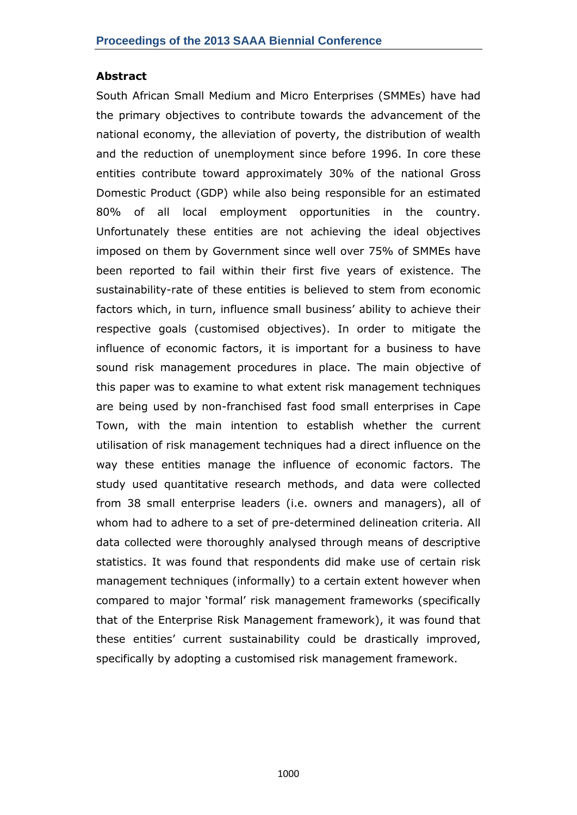#### **Abstract**

South African Small Medium and Micro Enterprises (SMMEs) have had the primary objectives to contribute towards the advancement of the national economy, the alleviation of poverty, the distribution of wealth and the reduction of unemployment since before 1996. In core these entities contribute toward approximately 30% of the national Gross Domestic Product (GDP) while also being responsible for an estimated 80% of all local employment opportunities in the country. Unfortunately these entities are not achieving the ideal objectives imposed on them by Government since well over 75% of SMMEs have been reported to fail within their first five years of existence. The sustainability-rate of these entities is believed to stem from economic factors which, in turn, influence small business' ability to achieve their respective goals (customised objectives). In order to mitigate the influence of economic factors, it is important for a business to have sound risk management procedures in place. The main objective of this paper was to examine to what extent risk management techniques are being used by non-franchised fast food small enterprises in Cape Town, with the main intention to establish whether the current utilisation of risk management techniques had a direct influence on the way these entities manage the influence of economic factors. The study used quantitative research methods, and data were collected from 38 small enterprise leaders (i.e. owners and managers), all of whom had to adhere to a set of pre-determined delineation criteria. All data collected were thoroughly analysed through means of descriptive statistics. It was found that respondents did make use of certain risk management techniques (informally) to a certain extent however when compared to major 'formal' risk management frameworks (specifically that of the Enterprise Risk Management framework), it was found that these entities' current sustainability could be drastically improved, specifically by adopting a customised risk management framework.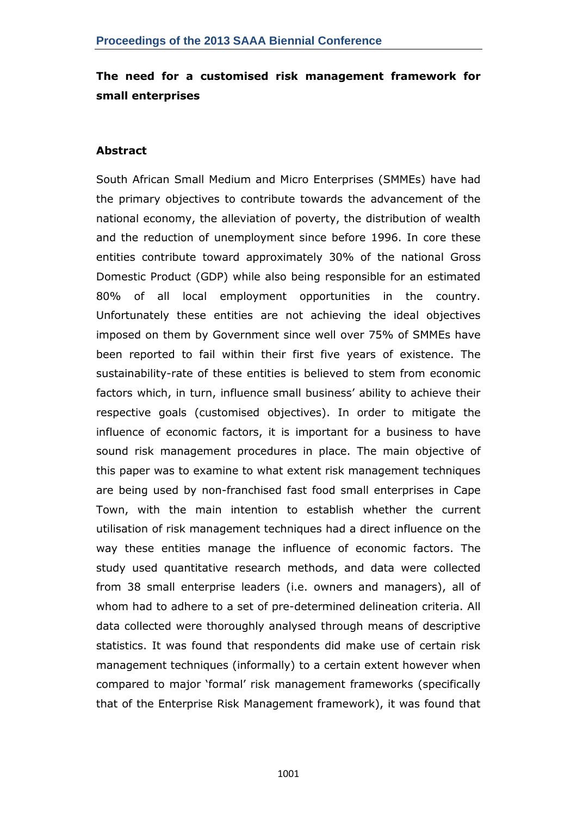# **The need for a customised risk management framework for small enterprises**

### **Abstract**

South African Small Medium and Micro Enterprises (SMMEs) have had the primary objectives to contribute towards the advancement of the national economy, the alleviation of poverty, the distribution of wealth and the reduction of unemployment since before 1996. In core these entities contribute toward approximately 30% of the national Gross Domestic Product (GDP) while also being responsible for an estimated 80% of all local employment opportunities in the country. Unfortunately these entities are not achieving the ideal objectives imposed on them by Government since well over 75% of SMMEs have been reported to fail within their first five years of existence. The sustainability-rate of these entities is believed to stem from economic factors which, in turn, influence small business' ability to achieve their respective goals (customised objectives). In order to mitigate the influence of economic factors, it is important for a business to have sound risk management procedures in place. The main objective of this paper was to examine to what extent risk management techniques are being used by non-franchised fast food small enterprises in Cape Town, with the main intention to establish whether the current utilisation of risk management techniques had a direct influence on the way these entities manage the influence of economic factors. The study used quantitative research methods, and data were collected from 38 small enterprise leaders (i.e. owners and managers), all of whom had to adhere to a set of pre-determined delineation criteria. All data collected were thoroughly analysed through means of descriptive statistics. It was found that respondents did make use of certain risk management techniques (informally) to a certain extent however when compared to major ‗formal' risk management frameworks (specifically that of the Enterprise Risk Management framework), it was found that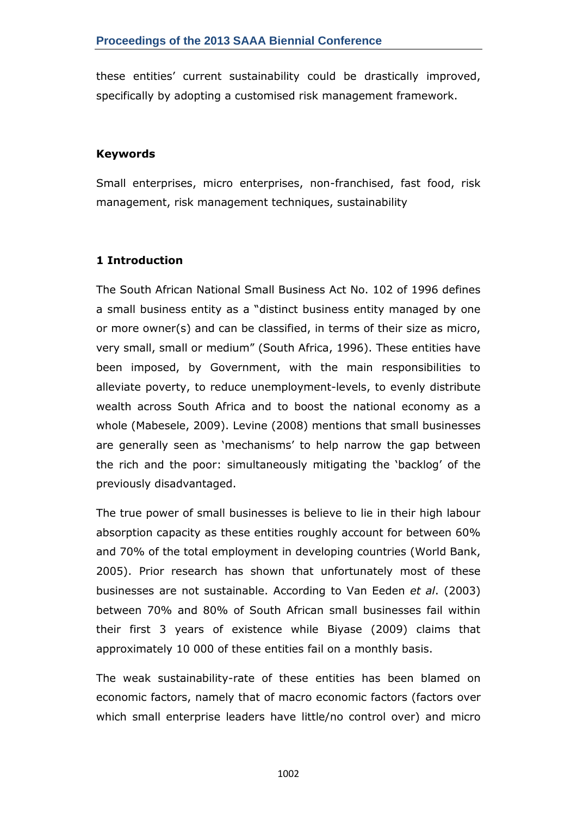these entities' current sustainability could be drastically improved, specifically by adopting a customised risk management framework.

#### **Keywords**

Small enterprises, micro enterprises, non-franchised, fast food, risk management, risk management techniques, sustainability

## **1 Introduction**

The South African National Small Business Act No. 102 of 1996 defines a small business entity as a "distinct business entity managed by one or more owner(s) and can be classified, in terms of their size as micro, very small, small or medium" (South Africa, 1996). These entities have been imposed, by Government, with the main responsibilities to alleviate poverty, to reduce unemployment-levels, to evenly distribute wealth across South Africa and to boost the national economy as a whole (Mabesele, 2009). Levine (2008) mentions that small businesses are generally seen as 'mechanisms' to help narrow the gap between the rich and the poor: simultaneously mitigating the 'backlog' of the previously disadvantaged.

The true power of small businesses is believe to lie in their high labour absorption capacity as these entities roughly account for between 60% and 70% of the total employment in developing countries (World Bank, 2005). Prior research has shown that unfortunately most of these businesses are not sustainable. According to Van Eeden *et al*. (2003) between 70% and 80% of South African small businesses fail within their first 3 years of existence while Biyase (2009) claims that approximately 10 000 of these entities fail on a monthly basis.

The weak sustainability-rate of these entities has been blamed on economic factors, namely that of macro economic factors (factors over which small enterprise leaders have little/no control over) and micro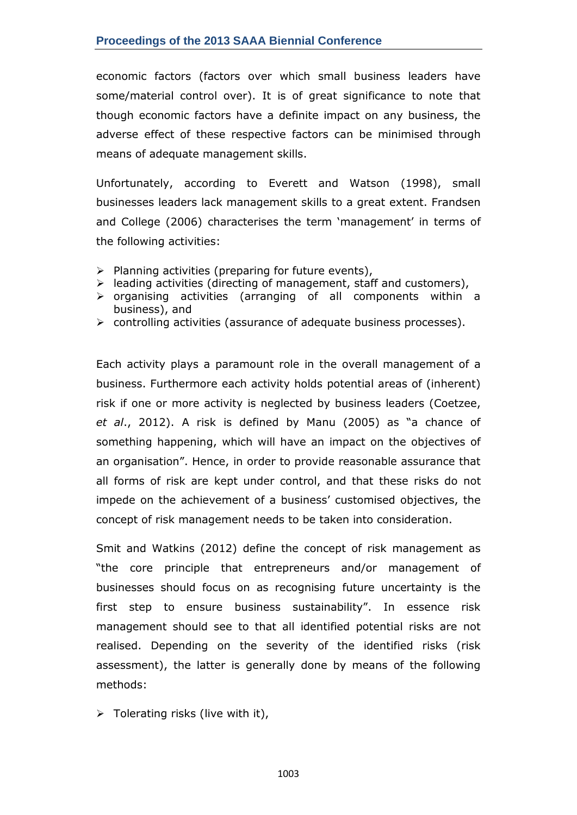economic factors (factors over which small business leaders have some/material control over). It is of great significance to note that though economic factors have a definite impact on any business, the adverse effect of these respective factors can be minimised through means of adequate management skills.

Unfortunately, according to Everett and Watson (1998), small businesses leaders lack management skills to a great extent. Frandsen and College (2006) characterises the term 'management' in terms of the following activities:

- $\triangleright$  Planning activities (preparing for future events),
- $\triangleright$  leading activities (directing of management, staff and customers),
- $\triangleright$  organising activities (arranging of all components within a business), and
- $\triangleright$  controlling activities (assurance of adequate business processes).

Each activity plays a paramount role in the overall management of a business. Furthermore each activity holds potential areas of (inherent) risk if one or more activity is neglected by business leaders (Coetzee, et al., 2012). A risk is defined by Manu (2005) as "a chance of something happening, which will have an impact on the objectives of an organisation". Hence, in order to provide reasonable assurance that all forms of risk are kept under control, and that these risks do not impede on the achievement of a business' customised objectives, the concept of risk management needs to be taken into consideration.

Smit and Watkins (2012) define the concept of risk management as "the core principle that entrepreneurs and/or management of businesses should focus on as recognising future uncertainty is the first step to ensure business sustainability". In essence risk management should see to that all identified potential risks are not realised. Depending on the severity of the identified risks (risk assessment), the latter is generally done by means of the following methods:

 $\triangleright$  Tolerating risks (live with it),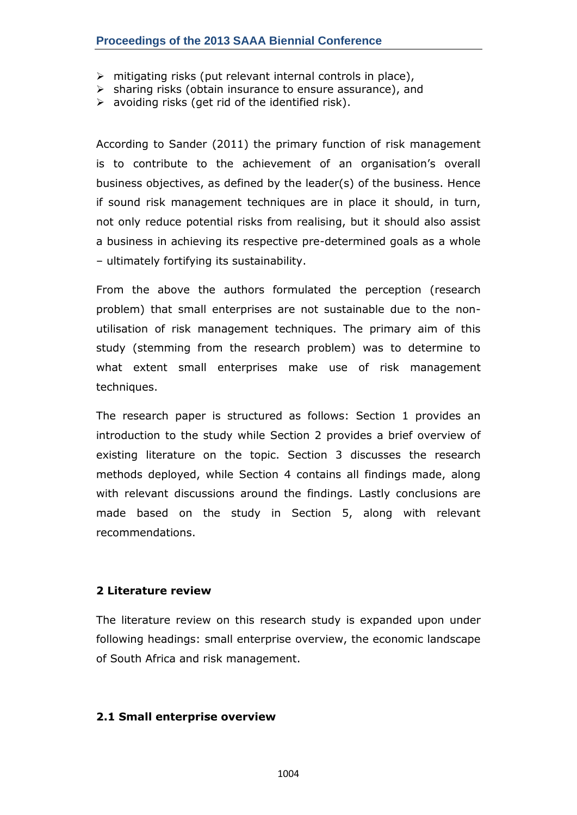- $\triangleright$  mitigating risks (put relevant internal controls in place),
- $\triangleright$  sharing risks (obtain insurance to ensure assurance), and
- $\triangleright$  avoiding risks (get rid of the identified risk).

According to Sander (2011) the primary function of risk management is to contribute to the achievement of an organisation's overall business objectives, as defined by the leader(s) of the business. Hence if sound risk management techniques are in place it should, in turn, not only reduce potential risks from realising, but it should also assist a business in achieving its respective pre-determined goals as a whole – ultimately fortifying its sustainability.

From the above the authors formulated the perception (research problem) that small enterprises are not sustainable due to the nonutilisation of risk management techniques. The primary aim of this study (stemming from the research problem) was to determine to what extent small enterprises make use of risk management techniques.

The research paper is structured as follows: Section 1 provides an introduction to the study while Section 2 provides a brief overview of existing literature on the topic. Section 3 discusses the research methods deployed, while Section 4 contains all findings made, along with relevant discussions around the findings. Lastly conclusions are made based on the study in Section 5, along with relevant recommendations.

### **2 Literature review**

The literature review on this research study is expanded upon under following headings: small enterprise overview, the economic landscape of South Africa and risk management.

### **2.1 Small enterprise overview**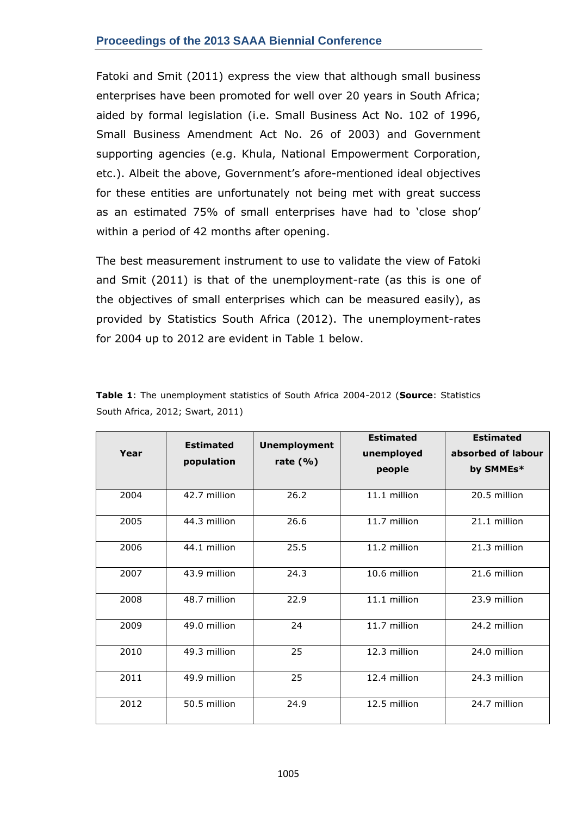Fatoki and Smit (2011) express the view that although small business enterprises have been promoted for well over 20 years in South Africa; aided by formal legislation (i.e. Small Business Act No. 102 of 1996, Small Business Amendment Act No. 26 of 2003) and Government supporting agencies (e.g. Khula, National Empowerment Corporation, etc.). Albeit the above, Government's afore-mentioned ideal objectives for these entities are unfortunately not being met with great success as an estimated 75% of small enterprises have had to 'close shop' within a period of 42 months after opening.

The best measurement instrument to use to validate the view of Fatoki and Smit (2011) is that of the unemployment-rate (as this is one of the objectives of small enterprises which can be measured easily), as provided by Statistics South Africa (2012). The unemployment-rates for 2004 up to 2012 are evident in Table 1 below.

|      | <b>Estimated</b> | <b>Unemployment</b> | <b>Estimated</b> | <b>Estimated</b>   |
|------|------------------|---------------------|------------------|--------------------|
| Year |                  |                     | unemployed       | absorbed of labour |
|      | population       | rate $(\% )$        | people           | by SMMEs*          |
|      |                  |                     |                  |                    |
| 2004 | 42.7 million     | 26.2                | 11.1 million     | 20.5 million       |
| 2005 | 44.3 million     | 26.6                | 11.7 million     | 21.1 million       |
| 2006 | 44.1 million     | 25.5                | 11.2 million     | 21.3 million       |
| 2007 | 43.9 million     | 24.3                | 10.6 million     | 21.6 million       |
| 2008 | 48.7 million     | 22.9                | 11.1 million     | 23.9 million       |
| 2009 | 49.0 million     | 24                  | 11.7 million     | 24.2 million       |
| 2010 | 49.3 million     | 25                  | 12.3 million     | 24.0 million       |
| 2011 | 49.9 million     | 25                  | 12.4 million     | 24.3 million       |
| 2012 | 50.5 million     | 24.9                | 12.5 million     | 24.7 million       |

**Table 1**: The unemployment statistics of South Africa 2004-2012 (**Source**: Statistics South Africa, 2012; Swart, 2011)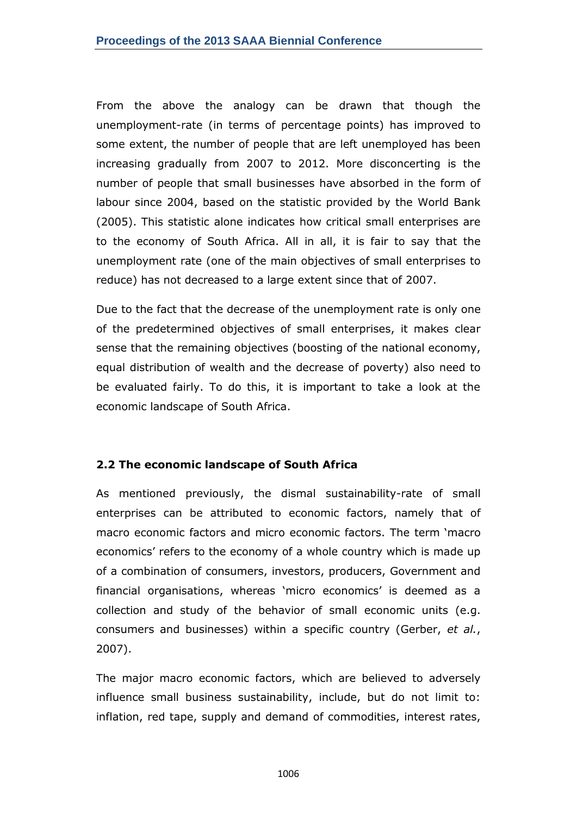From the above the analogy can be drawn that though the unemployment-rate (in terms of percentage points) has improved to some extent, the number of people that are left unemployed has been increasing gradually from 2007 to 2012. More disconcerting is the number of people that small businesses have absorbed in the form of labour since 2004, based on the statistic provided by the World Bank (2005). This statistic alone indicates how critical small enterprises are to the economy of South Africa. All in all, it is fair to say that the unemployment rate (one of the main objectives of small enterprises to reduce) has not decreased to a large extent since that of 2007.

Due to the fact that the decrease of the unemployment rate is only one of the predetermined objectives of small enterprises, it makes clear sense that the remaining objectives (boosting of the national economy, equal distribution of wealth and the decrease of poverty) also need to be evaluated fairly. To do this, it is important to take a look at the economic landscape of South Africa.

### **2.2 The economic landscape of South Africa**

As mentioned previously, the dismal sustainability-rate of small enterprises can be attributed to economic factors, namely that of macro economic factors and micro economic factors. The term 'macro economics' refers to the economy of a whole country which is made up of a combination of consumers, investors, producers, Government and financial organisations, whereas 'micro economics' is deemed as a collection and study of the behavior of small economic units (e.g. consumers and businesses) within a specific country (Gerber, *et al.*, 2007).

The major macro economic factors, which are believed to adversely influence small business sustainability, include, but do not limit to: inflation, red tape, supply and demand of commodities, interest rates,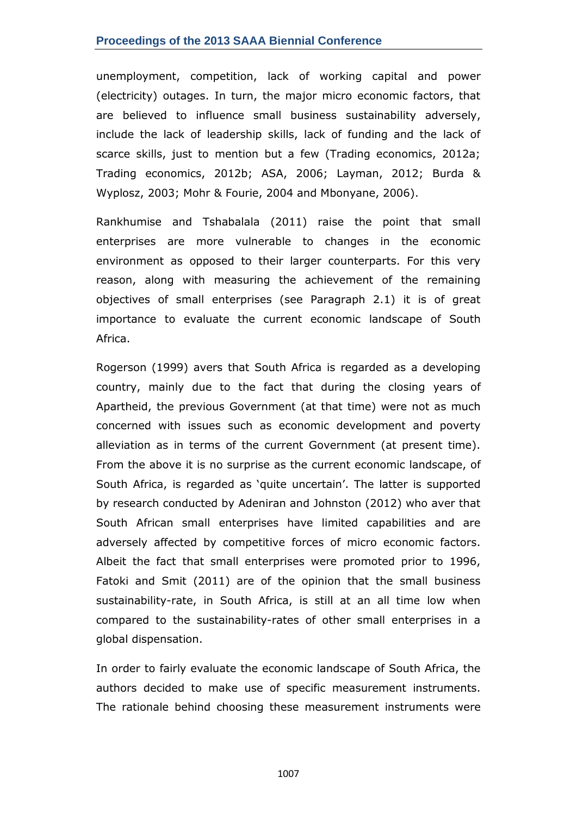#### **Proceedings of the 2013 SAAA Biennial Conference**

unemployment, competition, lack of working capital and power (electricity) outages. In turn, the major micro economic factors, that are believed to influence small business sustainability adversely, include the lack of leadership skills, lack of funding and the lack of scarce skills, just to mention but a few (Trading economics, 2012a; Trading economics, 2012b; ASA, 2006; Layman, 2012; Burda & Wyplosz, 2003; Mohr & Fourie, 2004 and Mbonyane, 2006).

Rankhumise and Tshabalala (2011) raise the point that small enterprises are more vulnerable to changes in the economic environment as opposed to their larger counterparts. For this very reason, along with measuring the achievement of the remaining objectives of small enterprises (see Paragraph 2.1) it is of great importance to evaluate the current economic landscape of South Africa.

Rogerson (1999) avers that South Africa is regarded as a developing country, mainly due to the fact that during the closing years of Apartheid, the previous Government (at that time) were not as much concerned with issues such as economic development and poverty alleviation as in terms of the current Government (at present time). From the above it is no surprise as the current economic landscape, of South Africa, is regarded as 'quite uncertain'. The latter is supported by research conducted by Adeniran and Johnston (2012) who aver that South African small enterprises have limited capabilities and are adversely affected by competitive forces of micro economic factors. Albeit the fact that small enterprises were promoted prior to 1996, Fatoki and Smit (2011) are of the opinion that the small business sustainability-rate, in South Africa, is still at an all time low when compared to the sustainability-rates of other small enterprises in a global dispensation.

In order to fairly evaluate the economic landscape of South Africa, the authors decided to make use of specific measurement instruments. The rationale behind choosing these measurement instruments were

1007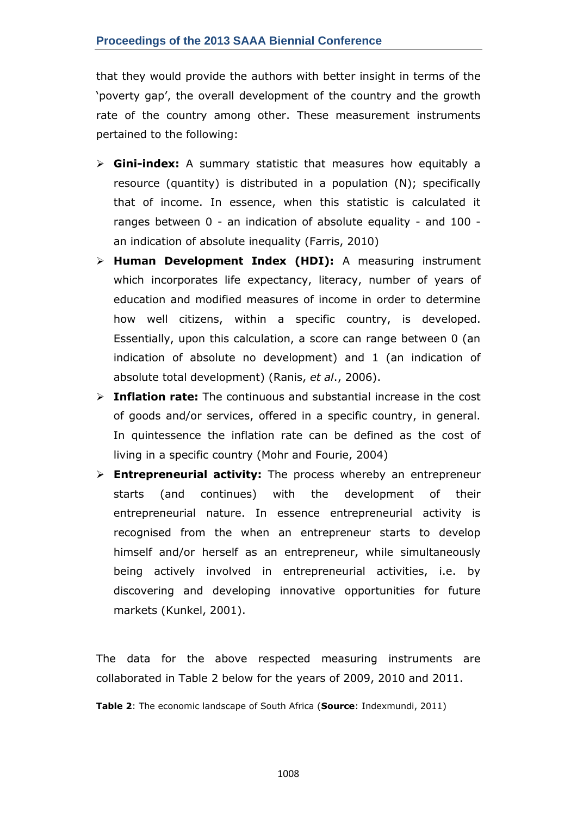that they would provide the authors with better insight in terms of the 'poverty gap', the overall development of the country and the growth rate of the country among other. These measurement instruments pertained to the following:

- **Gini-index:** A summary statistic that measures how equitably a resource (quantity) is distributed in a population (N); specifically that of income. In essence, when this statistic is calculated it ranges between 0 - an indication of absolute equality - and 100 an indication of absolute inequality (Farris, 2010)
- **Human Development Index (HDI):** A measuring instrument which incorporates life expectancy, literacy, number of years of education and modified measures of income in order to determine how well citizens, within a specific country, is developed. Essentially, upon this calculation, a score can range between 0 (an indication of absolute no development) and 1 (an indication of absolute total development) (Ranis, *et al*., 2006).
- **Inflation rate:** The continuous and substantial increase in the cost of goods and/or services, offered in a specific country, in general. In quintessence the inflation rate can be defined as the cost of living in a specific country (Mohr and Fourie, 2004)
- **Entrepreneurial activity:** The process whereby an entrepreneur starts (and continues) with the development of their entrepreneurial nature. In essence entrepreneurial activity is recognised from the when an entrepreneur starts to develop himself and/or herself as an entrepreneur, while simultaneously being actively involved in entrepreneurial activities, i.e. by discovering and developing innovative opportunities for future markets (Kunkel, 2001).

The data for the above respected measuring instruments are collaborated in Table 2 below for the years of 2009, 2010 and 2011.

**Table 2**: The economic landscape of South Africa (**Source**: Indexmundi, 2011)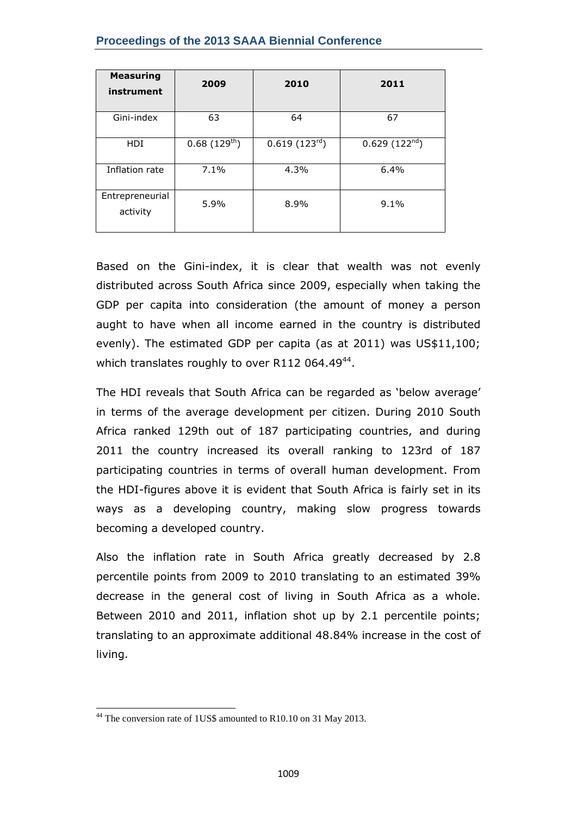| <b>Measuring</b><br>instrument | 2009             | 2010                      | 2011                      |
|--------------------------------|------------------|---------------------------|---------------------------|
| Gini-index                     | 63               | 64                        | 67                        |
| <b>HDI</b>                     | $0.68(129^{th})$ | 0.619(123 <sup>rd</sup> ) | 0.629(122 <sup>nd</sup> ) |
| Inflation rate                 | 7.1%             | 4.3%                      | 6.4%                      |
| Entrepreneurial<br>activity    | 5.9%             | 8.9%                      | 9.1%                      |

Based on the Gini-index, it is clear that wealth was not evenly distributed across South Africa since 2009, especially when taking the GDP per capita into consideration (the amount of money a person aught to have when all income earned in the country is distributed evenly). The estimated GDP per capita (as at 2011) was US\$11,100; which translates roughly to over R112 064.49 $44$ .

The HDI reveals that South Africa can be regarded as 'below average' in terms of the average development per citizen. During 2010 South Africa ranked 129th out of 187 participating countries, and during 2011 the country increased its overall ranking to 123rd of 187 participating countries in terms of overall human development. From the HDI-figures above it is evident that South Africa is fairly set in its ways as a developing country, making slow progress towards becoming a developed country.

Also the inflation rate in South Africa greatly decreased by 2.8 percentile points from 2009 to 2010 translating to an estimated 39% decrease in the general cost of living in South Africa as a whole. Between 2010 and 2011, inflation shot up by 2.1 percentile points; translating to an approximate additional 48.84% increase in the cost of living.

 $\ddot{\phantom{a}}$ <sup>44</sup> The conversion rate of 1US\$ amounted to R10.10 on 31 May 2013.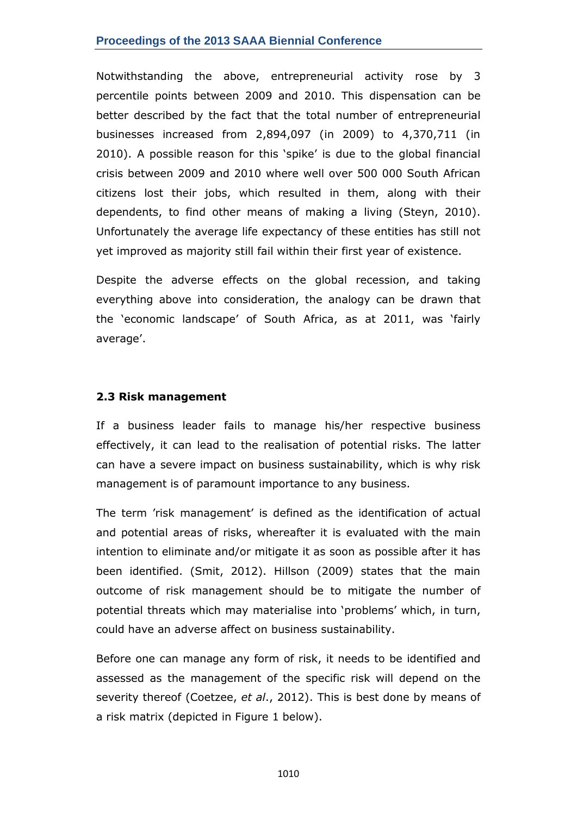### **Proceedings of the 2013 SAAA Biennial Conference**

Notwithstanding the above, entrepreneurial activity rose by 3 percentile points between 2009 and 2010. This dispensation can be better described by the fact that the total number of entrepreneurial businesses increased from 2,894,097 (in 2009) to 4,370,711 (in 2010). A possible reason for this 'spike' is due to the global financial crisis between 2009 and 2010 where well over 500 000 South African citizens lost their jobs, which resulted in them, along with their dependents, to find other means of making a living (Steyn, 2010). Unfortunately the average life expectancy of these entities has still not yet improved as majority still fail within their first year of existence.

Despite the adverse effects on the global recession, and taking everything above into consideration, the analogy can be drawn that the 'economic landscape' of South Africa, as at 2011, was 'fairly average'.

#### **2.3 Risk management**

If a business leader fails to manage his/her respective business effectively, it can lead to the realisation of potential risks. The latter can have a severe impact on business sustainability, which is why risk management is of paramount importance to any business.

The term 'risk management' is defined as the identification of actual and potential areas of risks, whereafter it is evaluated with the main intention to eliminate and/or mitigate it as soon as possible after it has been identified. (Smit, 2012). Hillson (2009) states that the main outcome of risk management should be to mitigate the number of potential threats which may materialise into 'problems' which, in turn, could have an adverse affect on business sustainability.

Before one can manage any form of risk, it needs to be identified and assessed as the management of the specific risk will depend on the severity thereof (Coetzee, *et al*., 2012). This is best done by means of a risk matrix (depicted in Figure 1 below).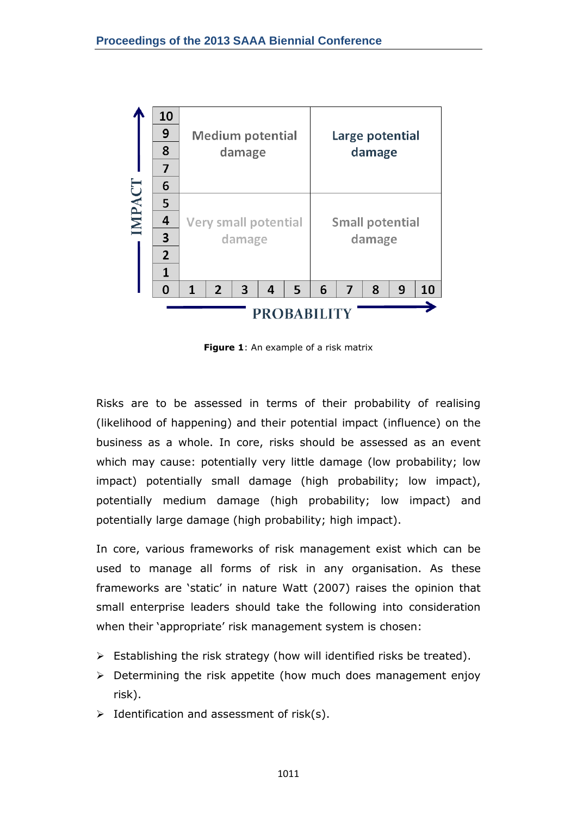

**Figure 1**: An example of a risk matrix

Risks are to be assessed in terms of their probability of realising (likelihood of happening) and their potential impact (influence) on the business as a whole. In core, risks should be assessed as an event which may cause: potentially very little damage (low probability; low impact) potentially small damage (high probability; low impact), potentially medium damage (high probability; low impact) and potentially large damage (high probability; high impact).

In core, various frameworks of risk management exist which can be used to manage all forms of risk in any organisation. As these frameworks are 'static' in nature Watt (2007) raises the opinion that small enterprise leaders should take the following into consideration when their 'appropriate' risk management system is chosen:

- $\triangleright$  Establishing the risk strategy (how will identified risks be treated).
- $\triangleright$  Determining the risk appetite (how much does management enjoy risk).
- $\triangleright$  Identification and assessment of risk(s).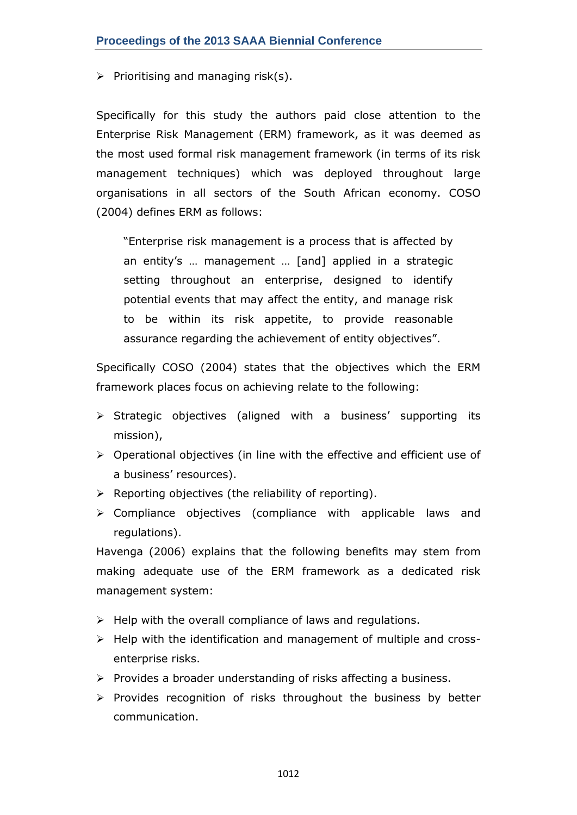$\triangleright$  Prioritising and managing risk(s).

Specifically for this study the authors paid close attention to the Enterprise Risk Management (ERM) framework, as it was deemed as the most used formal risk management framework (in terms of its risk management techniques) which was deployed throughout large organisations in all sectors of the South African economy. COSO (2004) defines ERM as follows:

―Enterprise risk management is a process that is affected by an entity's … management … [and] applied in a strategic setting throughout an enterprise, designed to identify potential events that may affect the entity, and manage risk to be within its risk appetite, to provide reasonable assurance regarding the achievement of entity objectives".

Specifically COSO (2004) states that the objectives which the ERM framework places focus on achieving relate to the following:

- $\triangleright$  Strategic objectives (aligned with a business' supporting its mission),
- Operational objectives (in line with the effective and efficient use of a business' resources).
- $\triangleright$  Reporting objectives (the reliability of reporting).
- $\triangleright$  Compliance objectives (compliance with applicable laws and regulations).

Havenga (2006) explains that the following benefits may stem from making adequate use of the ERM framework as a dedicated risk management system:

- $\triangleright$  Help with the overall compliance of laws and regulations.
- $\triangleright$  Help with the identification and management of multiple and crossenterprise risks.
- $\triangleright$  Provides a broader understanding of risks affecting a business.
- $\triangleright$  Provides recognition of risks throughout the business by better communication.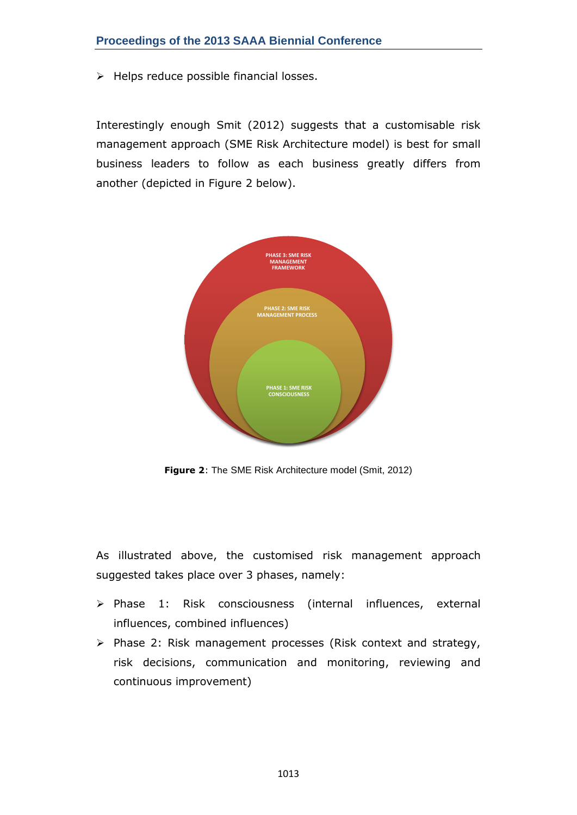$\triangleright$  Helps reduce possible financial losses.

Interestingly enough Smit (2012) suggests that a customisable risk management approach (SME Risk Architecture model) is best for small business leaders to follow as each business greatly differs from another (depicted in Figure 2 below).



**Figure 2**: The SME Risk Architecture model (Smit, 2012)

As illustrated above, the customised risk management approach suggested takes place over 3 phases, namely:

- > Phase 1: Risk consciousness (internal influences, external influences, combined influences)
- $\triangleright$  Phase 2: Risk management processes (Risk context and strategy, risk decisions, communication and monitoring, reviewing and continuous improvement)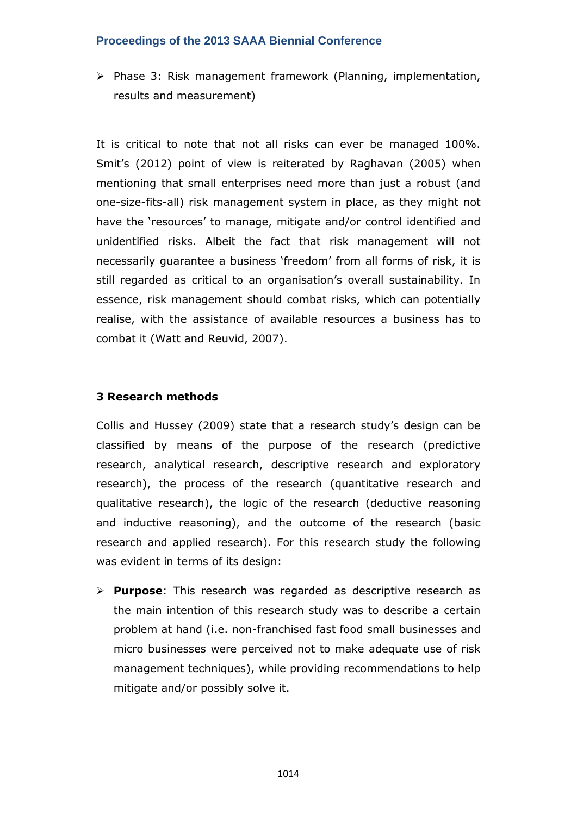$\triangleright$  Phase 3: Risk management framework (Planning, implementation, results and measurement)

It is critical to note that not all risks can ever be managed 100%. Smit's (2012) point of view is reiterated by Raghavan (2005) when mentioning that small enterprises need more than just a robust (and one-size-fits-all) risk management system in place, as they might not have the 'resources' to manage, mitigate and/or control identified and unidentified risks. Albeit the fact that risk management will not necessarily quarantee a business 'freedom' from all forms of risk, it is still regarded as critical to an organisation's overall sustainability. In essence, risk management should combat risks, which can potentially realise, with the assistance of available resources a business has to combat it (Watt and Reuvid, 2007).

### **3 Research methods**

Collis and Hussey (2009) state that a research study's design can be classified by means of the purpose of the research (predictive research, analytical research, descriptive research and exploratory research), the process of the research (quantitative research and qualitative research), the logic of the research (deductive reasoning and inductive reasoning), and the outcome of the research (basic research and applied research). For this research study the following was evident in terms of its design:

 **Purpose**: This research was regarded as descriptive research as the main intention of this research study was to describe a certain problem at hand (i.e. non-franchised fast food small businesses and micro businesses were perceived not to make adequate use of risk management techniques), while providing recommendations to help mitigate and/or possibly solve it.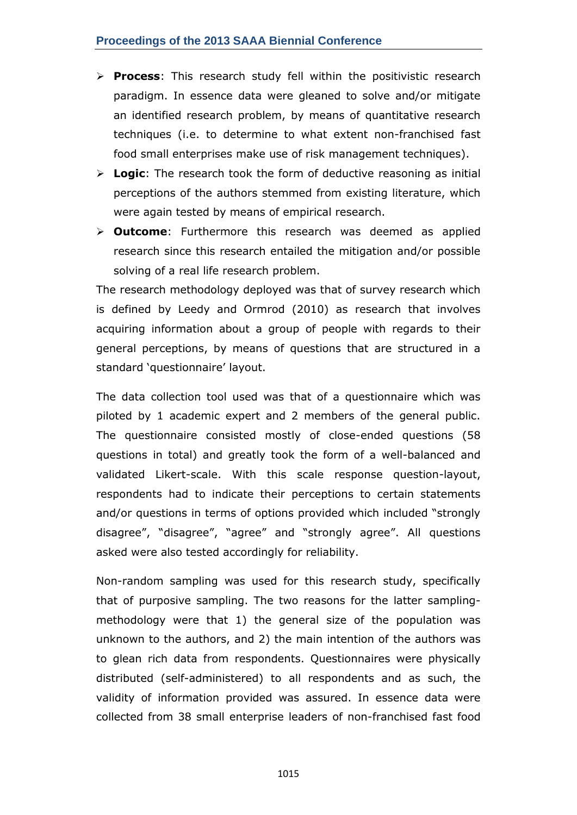- **Process**: This research study fell within the positivistic research paradigm. In essence data were gleaned to solve and/or mitigate an identified research problem, by means of quantitative research techniques (i.e. to determine to what extent non-franchised fast food small enterprises make use of risk management techniques).
- **Logic**: The research took the form of deductive reasoning as initial perceptions of the authors stemmed from existing literature, which were again tested by means of empirical research.
- **Outcome**: Furthermore this research was deemed as applied research since this research entailed the mitigation and/or possible solving of a real life research problem.

The research methodology deployed was that of survey research which is defined by Leedy and Ormrod (2010) as research that involves acquiring information about a group of people with regards to their general perceptions, by means of questions that are structured in a standard 'questionnaire' layout.

The data collection tool used was that of a questionnaire which was piloted by 1 academic expert and 2 members of the general public. The questionnaire consisted mostly of close-ended questions (58 questions in total) and greatly took the form of a well-balanced and validated Likert-scale. With this scale response question-layout, respondents had to indicate their perceptions to certain statements and/or questions in terms of options provided which included "strongly disagree", "disagree", "agree" and "strongly agree". All questions asked were also tested accordingly for reliability.

Non-random sampling was used for this research study, specifically that of purposive sampling. The two reasons for the latter samplingmethodology were that 1) the general size of the population was unknown to the authors, and 2) the main intention of the authors was to glean rich data from respondents. Questionnaires were physically distributed (self-administered) to all respondents and as such, the validity of information provided was assured. In essence data were collected from 38 small enterprise leaders of non-franchised fast food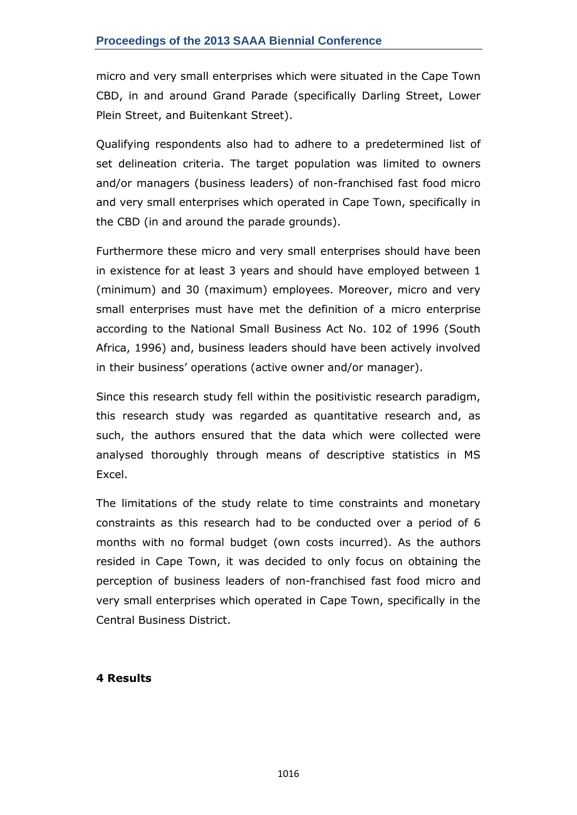micro and very small enterprises which were situated in the Cape Town CBD, in and around Grand Parade (specifically Darling Street, Lower Plein Street, and Buitenkant Street).

Qualifying respondents also had to adhere to a predetermined list of set delineation criteria. The target population was limited to owners and/or managers (business leaders) of non-franchised fast food micro and very small enterprises which operated in Cape Town, specifically in the CBD (in and around the parade grounds).

Furthermore these micro and very small enterprises should have been in existence for at least 3 years and should have employed between 1 (minimum) and 30 (maximum) employees. Moreover, micro and very small enterprises must have met the definition of a micro enterprise according to the National Small Business Act No. 102 of 1996 (South Africa, 1996) and, business leaders should have been actively involved in their business' operations (active owner and/or manager).

Since this research study fell within the positivistic research paradigm, this research study was regarded as quantitative research and, as such, the authors ensured that the data which were collected were analysed thoroughly through means of descriptive statistics in MS Excel.

The limitations of the study relate to time constraints and monetary constraints as this research had to be conducted over a period of 6 months with no formal budget (own costs incurred). As the authors resided in Cape Town, it was decided to only focus on obtaining the perception of business leaders of non-franchised fast food micro and very small enterprises which operated in Cape Town, specifically in the Central Business District.

### **4 Results**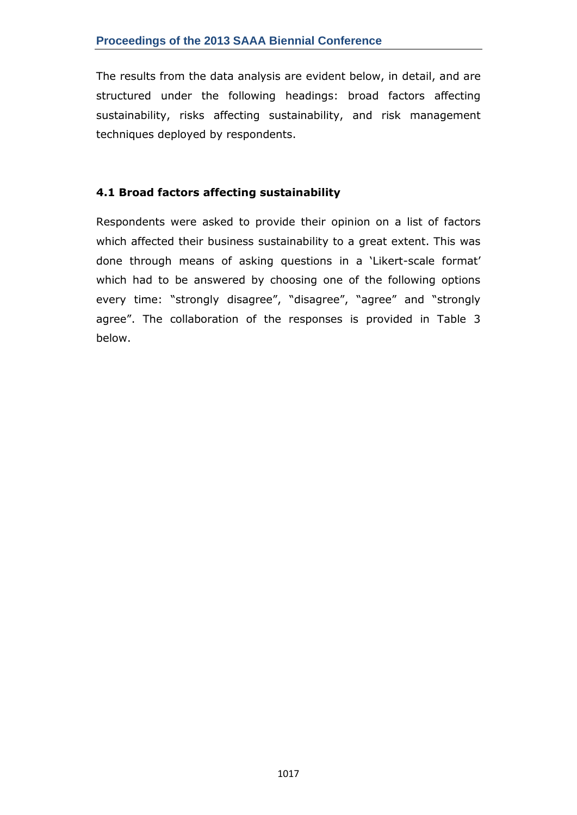The results from the data analysis are evident below, in detail, and are structured under the following headings: broad factors affecting sustainability, risks affecting sustainability, and risk management techniques deployed by respondents.

## **4.1 Broad factors affecting sustainability**

Respondents were asked to provide their opinion on a list of factors which affected their business sustainability to a great extent. This was done through means of asking questions in a 'Likert-scale format' which had to be answered by choosing one of the following options every time: "strongly disagree", "disagree", "agree" and "strongly agree". The collaboration of the responses is provided in Table 3 below.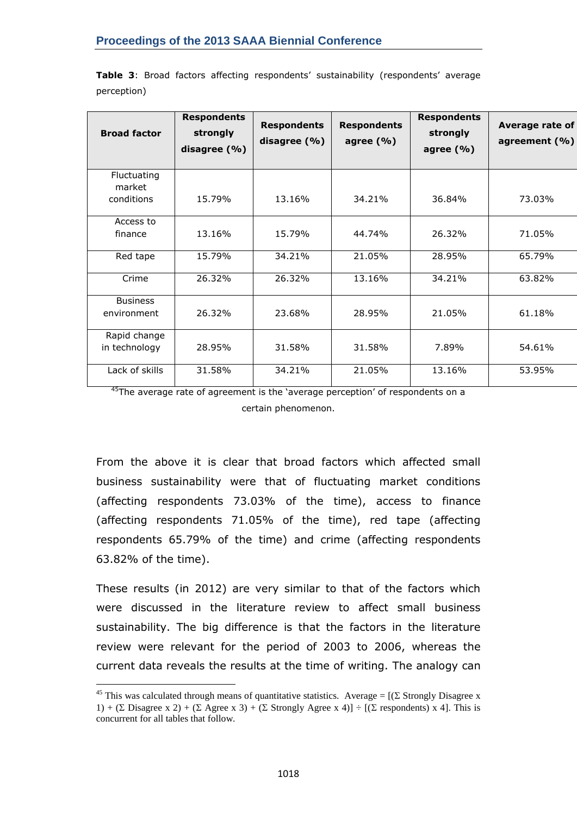| <b>Broad factor</b>            | <b>Respondents</b><br>strongly<br>disagree $(% )$ | <b>Respondents</b><br>disagree (%) | <b>Respondents</b><br>agree $(% )$ | <b>Respondents</b><br>strongly<br>agree $(\% )$ | Average rate of<br>agreement (%) |
|--------------------------------|---------------------------------------------------|------------------------------------|------------------------------------|-------------------------------------------------|----------------------------------|
| Fluctuating<br>market          |                                                   |                                    |                                    |                                                 |                                  |
| conditions                     | 15.79%                                            | 13.16%                             | 34.21%                             | 36.84%                                          | 73.03%                           |
| Access to                      |                                                   |                                    |                                    |                                                 |                                  |
| finance                        | 13.16%                                            | 15.79%                             | 44.74%                             | 26.32%                                          | 71.05%                           |
| Red tape                       | 15.79%                                            | 34.21%                             | 21.05%                             | 28.95%                                          | 65.79%                           |
| Crime                          | 26.32%                                            | 26.32%                             | 13.16%                             | 34.21%                                          | 63.82%                           |
| <b>Business</b><br>environment | 26.32%                                            | 23.68%                             | 28.95%                             | 21.05%                                          | 61.18%                           |
| Rapid change                   |                                                   |                                    |                                    |                                                 |                                  |
| in technology                  | 28.95%                                            | 31.58%                             | 31.58%                             | 7.89%                                           | 54.61%                           |
| Lack of skills                 | 31.58%                                            | 34.21%                             | 21.05%                             | 13.16%                                          | 53.95%                           |

**Table 3**: Broad factors affecting respondents' sustainability (respondents' average perception)

 $45$ The average rate of agreement is the 'average perception' of respondents on a certain phenomenon.

From the above it is clear that broad factors which affected small business sustainability were that of fluctuating market conditions (affecting respondents 73.03% of the time), access to finance (affecting respondents 71.05% of the time), red tape (affecting respondents 65.79% of the time) and crime (affecting respondents 63.82% of the time).

These results (in 2012) are very similar to that of the factors which were discussed in the literature review to affect small business sustainability. The big difference is that the factors in the literature review were relevant for the period of 2003 to 2006, whereas the current data reveals the results at the time of writing. The analogy can

 $\overline{a}$ 

<sup>&</sup>lt;sup>45</sup> This was calculated through means of quantitative statistics. Average =  $[(\Sigma \text{ Strongly Disagree x}]$ 1) + ( $\Sigma$  Disagree x 2) + ( $\Sigma$  Agree x 3) + ( $\Sigma$  Strongly Agree x 4)]  $\div$  [( $\Sigma$  respondents) x 4]. This is concurrent for all tables that follow.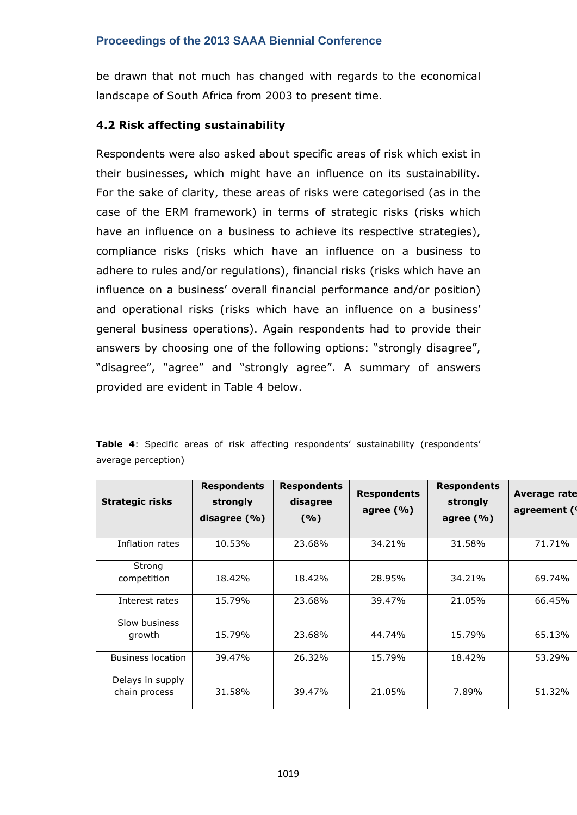be drawn that not much has changed with regards to the economical landscape of South Africa from 2003 to present time.

## **4.2 Risk affecting sustainability**

Respondents were also asked about specific areas of risk which exist in their businesses, which might have an influence on its sustainability. For the sake of clarity, these areas of risks were categorised (as in the case of the ERM framework) in terms of strategic risks (risks which have an influence on a business to achieve its respective strategies), compliance risks (risks which have an influence on a business to adhere to rules and/or regulations), financial risks (risks which have an influence on a business' overall financial performance and/or position) and operational risks (risks which have an influence on a business' general business operations). Again respondents had to provide their answers by choosing one of the following options: "strongly disagree", "disagree", "agree" and "strongly agree". A summary of answers provided are evident in Table 4 below.

| <b>Strategic risks</b>            | <b>Respondents</b><br>strongly<br>disagree $(\% )$ | <b>Respondents</b><br>disagree<br>(%) | <b>Respondents</b><br>agree $(\% )$ | <b>Respondents</b><br>strongly<br>agree $(% )$ | <b>Average rate</b><br>agreement (1 |
|-----------------------------------|----------------------------------------------------|---------------------------------------|-------------------------------------|------------------------------------------------|-------------------------------------|
| Inflation rates                   | 10.53%                                             | 23.68%                                | 34.21%                              | 31.58%                                         | 71.71%                              |
| Strong                            |                                                    |                                       |                                     |                                                |                                     |
| competition                       | 18.42%                                             | 18.42%                                | 28.95%                              | 34.21%                                         | 69.74%                              |
| Interest rates                    | 15.79%                                             | 23.68%                                | 39.47%                              | 21.05%                                         | 66.45%                              |
| Slow business                     |                                                    |                                       |                                     |                                                |                                     |
| growth                            | 15.79%                                             | 23.68%                                | 44.74%                              | 15.79%                                         | 65.13%                              |
| <b>Business location</b>          | 39.47%                                             | 26.32%                                | 15.79%                              | 18.42%                                         | 53.29%                              |
| Delays in supply<br>chain process | 31.58%                                             | 39.47%                                | 21.05%                              | 7.89%                                          | 51.32%                              |

**Table 4**: Specific areas of risk affecting respondents' sustainability (respondents' average perception)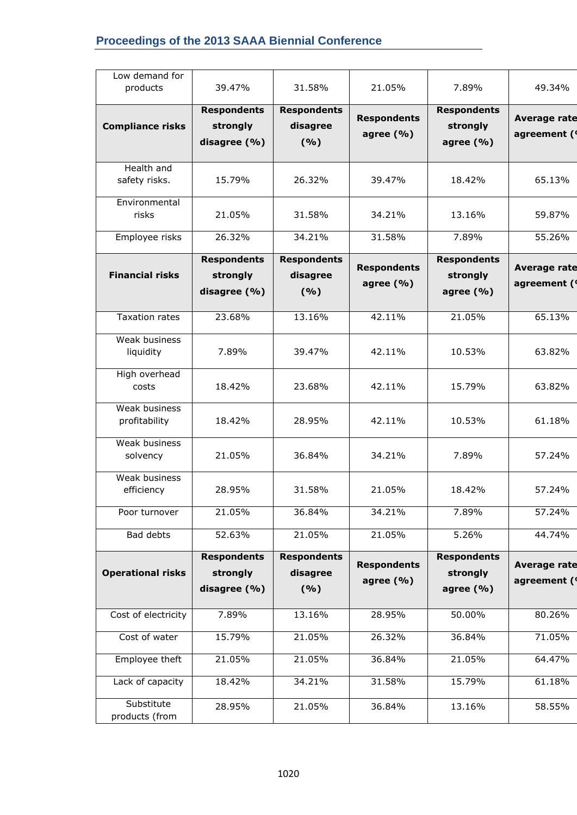## **Proceedings of the 2013 SAAA Biennial Conference**

| Low demand for                     |                                                |                                         |                                    |                                                |                                    |
|------------------------------------|------------------------------------------------|-----------------------------------------|------------------------------------|------------------------------------------------|------------------------------------|
| products                           | 39.47%                                         | 31.58%                                  | 21.05%                             | 7.89%                                          | 49.34%                             |
| <b>Compliance risks</b>            | <b>Respondents</b><br>strongly<br>disagree (%) | <b>Respondents</b><br>disagree<br>(9/6) | <b>Respondents</b><br>agree (%)    | <b>Respondents</b><br>strongly<br>agree (%)    | <b>Average rate</b><br>agreement ( |
| <b>Health and</b><br>safety risks. | 15.79%                                         | 26.32%                                  | 39.47%                             | 18.42%                                         | 65.13%                             |
| Environmental<br>risks             | 21.05%                                         | 31.58%                                  | 34.21%                             | 13.16%                                         | 59.87%                             |
| Employee risks                     | 26.32%                                         | 34.21%                                  | 31.58%                             | 7.89%                                          | 55.26%                             |
| <b>Financial risks</b>             | <b>Respondents</b><br>strongly<br>disagree (%) | <b>Respondents</b><br>disagree<br>(%)   | <b>Respondents</b><br>agree $(% )$ | <b>Respondents</b><br>strongly<br>agree (%)    | <b>Average rate</b><br>agreement ( |
| <b>Taxation rates</b>              | 23.68%                                         | 13.16%                                  | 42.11%                             | 21.05%                                         | 65.13%                             |
| Weak business<br>liquidity         | 7.89%                                          | 39.47%                                  | 42.11%                             | 10.53%                                         | 63.82%                             |
| High overhead<br>costs             | 18.42%                                         | 23.68%                                  | 42.11%                             | 15.79%                                         | 63.82%                             |
| Weak business<br>profitability     | 18.42%                                         | 28.95%                                  | 42.11%                             | 10.53%                                         | 61.18%                             |
| Weak business<br>solvency          | 21.05%                                         | 36.84%                                  | 34.21%                             | 7.89%                                          | 57.24%                             |
| Weak business<br>efficiency        | 28.95%                                         | 31.58%                                  | 21.05%                             | 18.42%                                         | 57.24%                             |
| Poor turnover                      | 21.05%                                         | 36.84%                                  | 34.21%                             | 7.89%                                          | 57.24%                             |
| Bad debts                          | 52.63%                                         | 21.05%                                  | 21.05%                             | 5.26%                                          | 44.74%                             |
| <b>Operational risks</b>           | <b>Respondents</b><br>strongly<br>disagree (%) | <b>Respondents</b><br>disagree<br>(9/6) | <b>Respondents</b><br>agree $(% )$ | <b>Respondents</b><br>strongly<br>agree $(% )$ | <b>Average rate</b><br>agreement ( |
| Cost of electricity                | 7.89%                                          | 13.16%                                  | 28.95%                             | 50.00%                                         | 80.26%                             |
| Cost of water                      | 15.79%                                         | 21.05%                                  | 26.32%                             | 36.84%                                         | 71.05%                             |
| Employee theft                     | 21.05%                                         | 21.05%                                  | 36.84%                             | 21.05%                                         | 64.47%                             |
| Lack of capacity                   | 18.42%                                         | 34.21%                                  | 31.58%                             | 15.79%                                         | 61.18%                             |
| Substitute<br>products (from       | 28.95%                                         | 21.05%                                  | 36.84%                             | 13.16%                                         | 58.55%                             |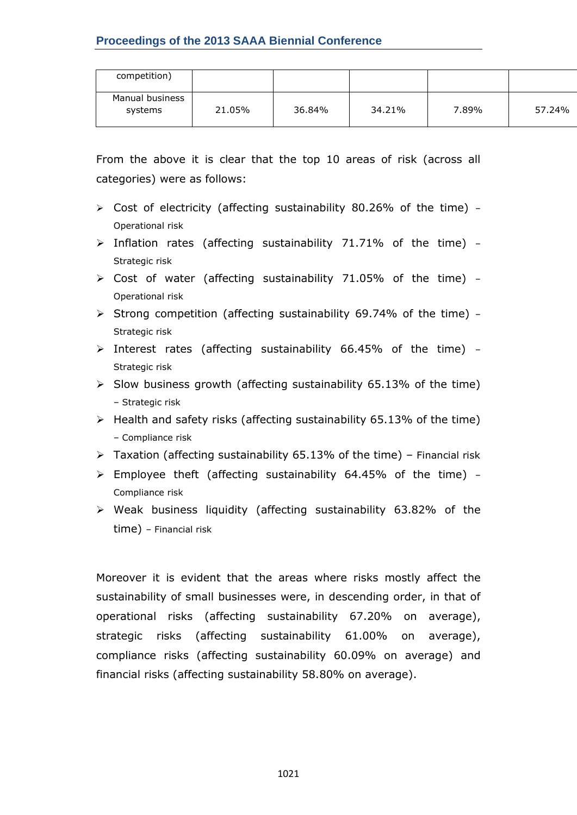| competition)               |        |        |        |       |        |
|----------------------------|--------|--------|--------|-------|--------|
| Manual business<br>systems | 21.05% | 36.84% | 34.21% | 7.89% | 57.24% |

From the above it is clear that the top 10 areas of risk (across all categories) were as follows:

- $\ge$  Cost of electricity (affecting sustainability 80.26% of the time) -Operational risk
- $\triangleright$  Inflation rates (affecting sustainability 71.71% of the time) -Strategic risk
- $\triangleright$  Cost of water (affecting sustainability 71.05% of the time) -Operational risk
- $\triangleright$  Strong competition (affecting sustainability 69.74% of the time) -Strategic risk
- $\triangleright$  Interest rates (affecting sustainability 66.45% of the time) -Strategic risk
- $\triangleright$  Slow business growth (affecting sustainability 65.13% of the time) – Strategic risk
- $\triangleright$  Health and safety risks (affecting sustainability 65.13% of the time) – Compliance risk
- $\triangleright$  Taxation (affecting sustainability 65.13% of the time) Financial risk
- $\triangleright$  Employee theft (affecting sustainability 64.45% of the time) -Compliance risk
- $\triangleright$  Weak business liquidity (affecting sustainability 63.82% of the time) – Financial risk

Moreover it is evident that the areas where risks mostly affect the sustainability of small businesses were, in descending order, in that of operational risks (affecting sustainability 67.20% on average), strategic risks (affecting sustainability 61.00% on average), compliance risks (affecting sustainability 60.09% on average) and financial risks (affecting sustainability 58.80% on average).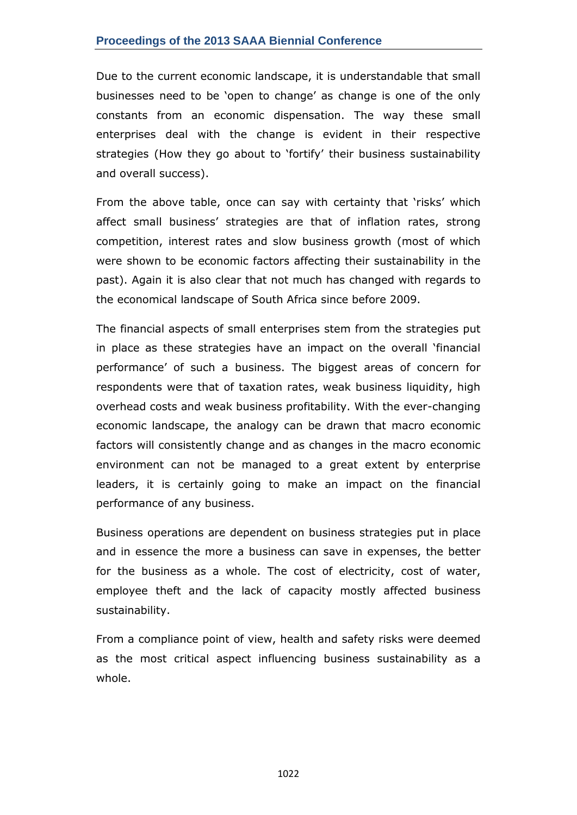Due to the current economic landscape, it is understandable that small businesses need to be 'open to change' as change is one of the only constants from an economic dispensation. The way these small enterprises deal with the change is evident in their respective strategies (How they go about to 'fortify' their business sustainability and overall success).

From the above table, once can say with certainty that 'risks' which affect small business' strategies are that of inflation rates, strong competition, interest rates and slow business growth (most of which were shown to be economic factors affecting their sustainability in the past). Again it is also clear that not much has changed with regards to the economical landscape of South Africa since before 2009.

The financial aspects of small enterprises stem from the strategies put in place as these strategies have an impact on the overall 'financial performance' of such a business. The biggest areas of concern for respondents were that of taxation rates, weak business liquidity, high overhead costs and weak business profitability. With the ever-changing economic landscape, the analogy can be drawn that macro economic factors will consistently change and as changes in the macro economic environment can not be managed to a great extent by enterprise leaders, it is certainly going to make an impact on the financial performance of any business.

Business operations are dependent on business strategies put in place and in essence the more a business can save in expenses, the better for the business as a whole. The cost of electricity, cost of water, employee theft and the lack of capacity mostly affected business sustainability.

From a compliance point of view, health and safety risks were deemed as the most critical aspect influencing business sustainability as a whole.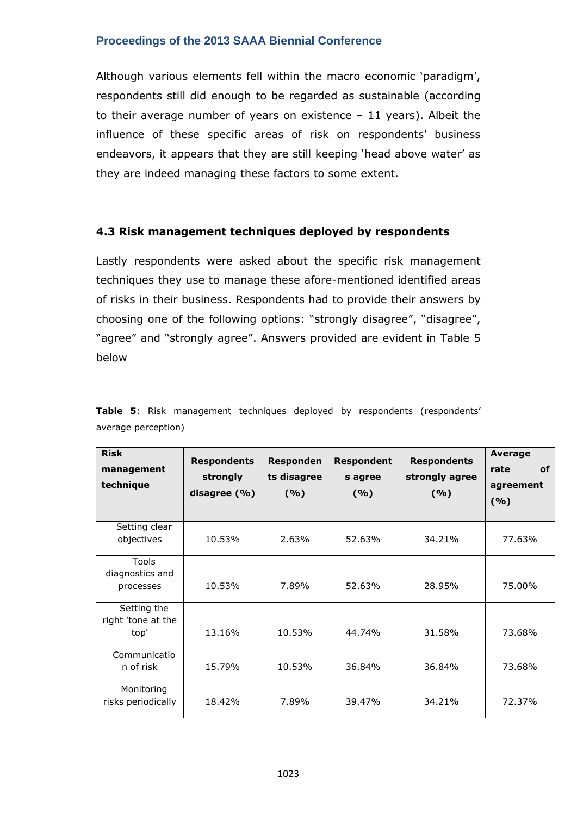Although various elements fell within the macro economic 'paradigm', respondents still did enough to be regarded as sustainable (according to their average number of years on existence  $-11$  years). Albeit the influence of these specific areas of risk on respondents' business endeavors, it appears that they are still keeping 'head above water' as they are indeed managing these factors to some extent.

## **4.3 Risk management techniques deployed by respondents**

Lastly respondents were asked about the specific risk management techniques they use to manage these afore-mentioned identified areas of risks in their business. Respondents had to provide their answers by choosing one of the following options: "strongly disagree", "disagree", "agree" and "strongly agree". Answers provided are evident in Table 5 below

| <b>Risk</b><br>management<br>technique    | <b>Respondents</b><br>strongly<br>disagree (%) | Responden<br>ts disagree<br>(9/6) | <b>Respondent</b><br>s agree<br>(9/6) | <b>Respondents</b><br>strongly agree<br>(9/6) | Average<br><b>of</b><br>rate<br>agreement<br>(9/6) |
|-------------------------------------------|------------------------------------------------|-----------------------------------|---------------------------------------|-----------------------------------------------|----------------------------------------------------|
| Setting clear<br>objectives               | 10.53%                                         | 2.63%                             | 52.63%                                | 34.21%                                        | 77.63%                                             |
| Tools<br>diagnostics and<br>processes     | 10.53%                                         | 7.89%                             | 52.63%                                | 28.95%                                        | 75.00%                                             |
| Setting the<br>right 'tone at the<br>top' | 13.16%                                         | 10.53%                            | 44.74%                                | 31.58%                                        | 73.68%                                             |
| Communicatio<br>n of risk                 | 15.79%                                         | 10.53%                            | 36.84%                                | 36.84%                                        | 73.68%                                             |
| Monitoring<br>risks periodically          | 18.42%                                         | 7.89%                             | 39.47%                                | 34.21%                                        | 72.37%                                             |

**Table 5**: Risk management techniques deployed by respondents (respondents' average perception)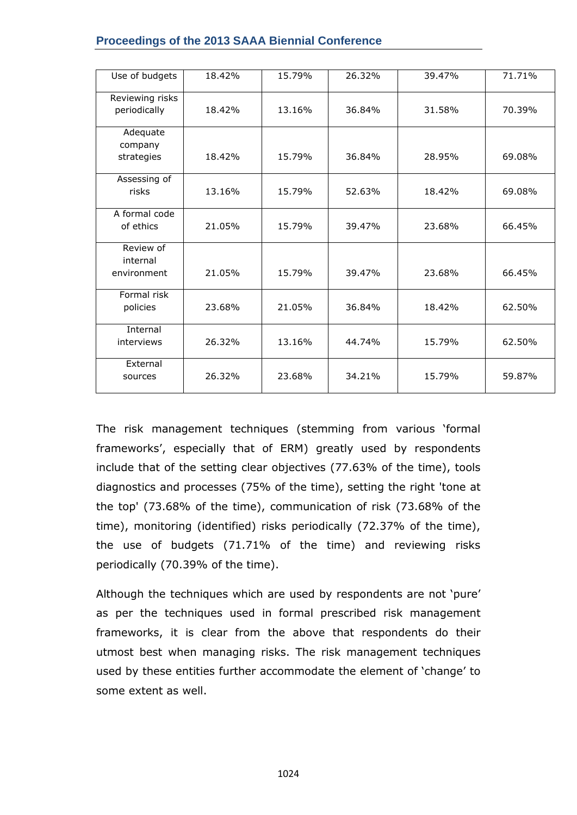| Use of budgets                  | 18.42% | 15.79% | 26.32% | 39.47% | 71.71% |
|---------------------------------|--------|--------|--------|--------|--------|
| Reviewing risks<br>periodically | 18.42% | 13.16% | 36.84% | 31.58% | 70.39% |
| Adequate                        |        |        |        |        |        |
| company<br>strategies           | 18.42% | 15.79% | 36.84% | 28.95% | 69.08% |
| Assessing of<br>risks           | 13.16% | 15.79% | 52.63% | 18.42% | 69.08% |
| A formal code<br>of ethics      | 21.05% | 15.79% | 39.47% | 23.68% | 66.45% |
| Review of                       |        |        |        |        |        |
| internal<br>environment         | 21.05% | 15.79% | 39.47% | 23.68% | 66.45% |
| Formal risk<br>policies         | 23.68% | 21.05% | 36.84% | 18.42% | 62.50% |
| Internal<br>interviews          | 26.32% | 13.16% | 44.74% | 15.79% | 62.50% |
| External<br>sources             | 26.32% | 23.68% | 34.21% | 15.79% | 59.87% |

#### **Proceedings of the 2013 SAAA Biennial Conference**

The risk management techniques (stemming from various 'formal frameworks', especially that of ERM) greatly used by respondents include that of the setting clear objectives (77.63% of the time), tools diagnostics and processes (75% of the time), setting the right 'tone at the top' (73.68% of the time), communication of risk (73.68% of the time), monitoring (identified) risks periodically (72.37% of the time), the use of budgets (71.71% of the time) and reviewing risks periodically (70.39% of the time).

Although the techniques which are used by respondents are not 'pure' as per the techniques used in formal prescribed risk management frameworks, it is clear from the above that respondents do their utmost best when managing risks. The risk management techniques used by these entities further accommodate the element of 'change' to some extent as well.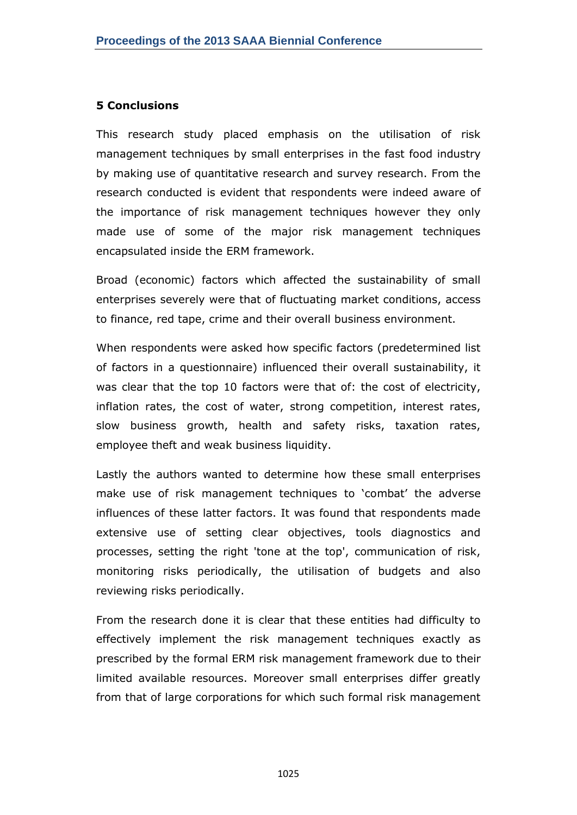#### **5 Conclusions**

This research study placed emphasis on the utilisation of risk management techniques by small enterprises in the fast food industry by making use of quantitative research and survey research. From the research conducted is evident that respondents were indeed aware of the importance of risk management techniques however they only made use of some of the major risk management techniques encapsulated inside the ERM framework.

Broad (economic) factors which affected the sustainability of small enterprises severely were that of fluctuating market conditions, access to finance, red tape, crime and their overall business environment.

When respondents were asked how specific factors (predetermined list of factors in a questionnaire) influenced their overall sustainability, it was clear that the top 10 factors were that of: the cost of electricity, inflation rates, the cost of water, strong competition, interest rates, slow business growth, health and safety risks, taxation rates, employee theft and weak business liquidity.

Lastly the authors wanted to determine how these small enterprises make use of risk management techniques to 'combat' the adverse influences of these latter factors. It was found that respondents made extensive use of setting clear objectives, tools diagnostics and processes, setting the right 'tone at the top', communication of risk, monitoring risks periodically, the utilisation of budgets and also reviewing risks periodically.

From the research done it is clear that these entities had difficulty to effectively implement the risk management techniques exactly as prescribed by the formal ERM risk management framework due to their limited available resources. Moreover small enterprises differ greatly from that of large corporations for which such formal risk management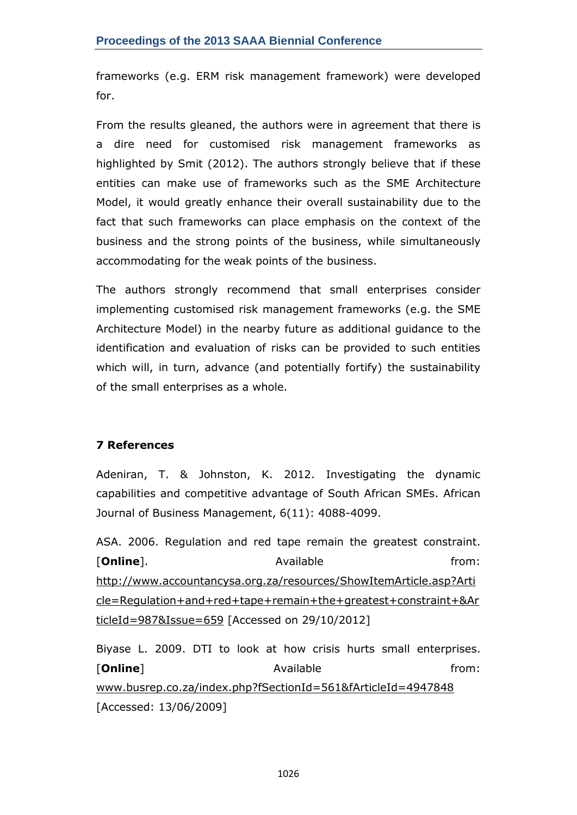frameworks (e.g. ERM risk management framework) were developed for.

From the results gleaned, the authors were in agreement that there is a dire need for customised risk management frameworks as highlighted by Smit (2012). The authors strongly believe that if these entities can make use of frameworks such as the SME Architecture Model, it would greatly enhance their overall sustainability due to the fact that such frameworks can place emphasis on the context of the business and the strong points of the business, while simultaneously accommodating for the weak points of the business.

The authors strongly recommend that small enterprises consider implementing customised risk management frameworks (e.g. the SME Architecture Model) in the nearby future as additional guidance to the identification and evaluation of risks can be provided to such entities which will, in turn, advance (and potentially fortify) the sustainability of the small enterprises as a whole.

## **7 References**

Adeniran, T. & Johnston, K. 2012. Investigating the dynamic capabilities and competitive advantage of South African SMEs. African Journal of Business Management, 6(11): 4088-4099.

ASA. 2006. Regulation and red tape remain the greatest constraint. [**Online**]. The absolution of the Available from: the from: [http://www.accountancysa.org.za/resources/ShowItemArticle.asp?Arti](http://www.accountancysa.org.za/resources/ShowItemArticle.asp?Article=Regulation+and+red+tape+remain+the+greatest+constraint+&ArticleId=987&Issue=659) [cle=Regulation+and+red+tape+remain+the+greatest+constraint+&Ar](http://www.accountancysa.org.za/resources/ShowItemArticle.asp?Article=Regulation+and+red+tape+remain+the+greatest+constraint+&ArticleId=987&Issue=659) [ticleId=987&Issue=659](http://www.accountancysa.org.za/resources/ShowItemArticle.asp?Article=Regulation+and+red+tape+remain+the+greatest+constraint+&ArticleId=987&Issue=659) [Accessed on 29/10/2012]

Biyase L. 2009. DTI to look at how crisis hurts small enterprises. [**Online**] **Available has a set of the set of the set of the set of the set of the set of the set of the set of the set of the set of the set of the set of the set of the set of the set of the set of the set of the set o** [www.busrep.co.za/index.php?fSectionId=561&fArticleId=4947848](http://www.busrep.co.za/index.php?fSectionId=561&fArticleId=4947848) [Accessed: 13/06/2009]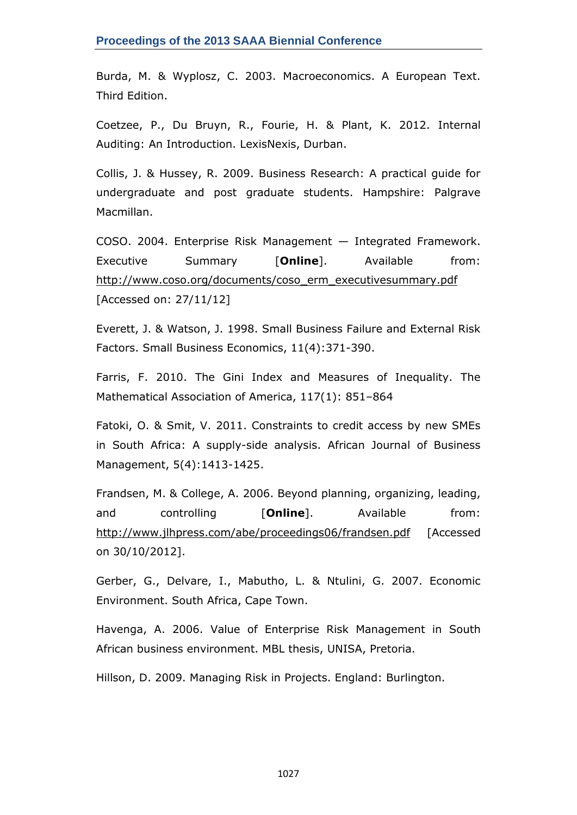Burda, M. & Wyplosz, C. 2003. Macroeconomics. A European Text. Third Edition.

Coetzee, P., Du Bruyn, R., Fourie, H. & Plant, K. 2012. Internal Auditing: An Introduction. LexisNexis, Durban.

Collis, J. & Hussey, R. 2009. Business Research: A practical guide for undergraduate and post graduate students. Hampshire: Palgrave Macmillan.

COSO. 2004. Enterprise Risk Management — Integrated Framework. Executive Summary [**Online**]. Available from: [http://www.coso.org/documents/coso\\_erm\\_executivesummary.pdf](http://www.coso.org/documents/coso_erm_executivesummary.pdf) [Accessed on: 27/11/12]

Everett, J. & Watson, J. 1998. Small Business Failure and External Risk Factors. Small Business Economics, 11(4):371-390.

Farris, F. 2010. The Gini Index and Measures of Inequality. The Mathematical Association of America, 117(1): 851–864

Fatoki, O. & Smit, V. 2011. Constraints to credit access by new SMEs in South Africa: A supply-side analysis. African Journal of Business Management, 5(4):1413-1425.

Frandsen, M. & College, A. 2006. Beyond planning, organizing, leading, and controlling [**Online**]. Available from: <http://www.jlhpress.com/abe/proceedings06/frandsen.pdf> [Accessed] on 30/10/2012].

Gerber, G., Delvare, I., Mabutho, L. & Ntulini, G. 2007. Economic Environment. South Africa, Cape Town.

Havenga, A. 2006. Value of Enterprise Risk Management in South African business environment. MBL thesis, UNISA, Pretoria.

Hillson, D. 2009. Managing Risk in Projects. England: Burlington.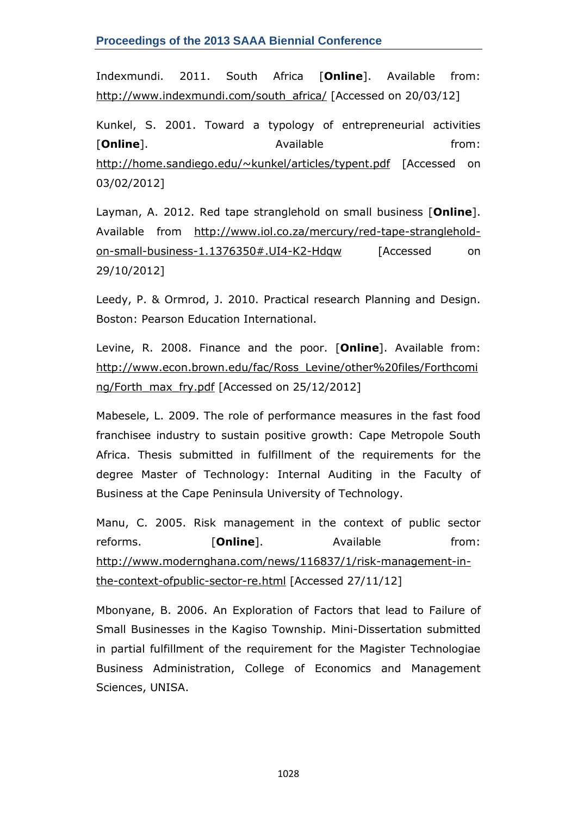Indexmundi. 2011. South Africa [**Online**]. Available from: [http://www.indexmundi.com/south\\_africa/](http://www.indexmundi.com/south_africa/) [Accessed on 20/03/12]

Kunkel, S. 2001. Toward a typology of entrepreneurial activities **[Online**]. **Available from: http://education.com/inform/** <http://home.sandiego.edu/~kunkel/articles/typent.pdf> [Accessed on 03/02/2012]

Layman, A. 2012. Red tape stranglehold on small business [**Online**]. Available from [http://www.iol.co.za/mercury/red-tape-stranglehold](http://www.iol.co.za/mercury/red-tape-stranglehold-on-small-business-1.1376350#.UI4-K2-Hdqw)[on-small-business-1.1376350#.UI4-K2-Hdqw](http://www.iol.co.za/mercury/red-tape-stranglehold-on-small-business-1.1376350#.UI4-K2-Hdqw) [Accessed on 29/10/2012]

Leedy, P. & Ormrod, J. 2010. Practical research Planning and Design. Boston: Pearson Education International.

Levine, R. 2008. Finance and the poor. [**Online**]. Available from: [http://www.econ.brown.edu/fac/Ross\\_Levine/other%20files/Forthcomi](http://www.econ.brown.edu/fac/Ross_Levine/other%20files/Forthcoming/Forth_max_fry.pdf) [ng/Forth\\_max\\_fry.pdf](http://www.econ.brown.edu/fac/Ross_Levine/other%20files/Forthcoming/Forth_max_fry.pdf) [Accessed on 25/12/2012]

Mabesele, L. 2009. The role of performance measures in the fast food franchisee industry to sustain positive growth: Cape Metropole South Africa. Thesis submitted in fulfillment of the requirements for the degree Master of Technology: Internal Auditing in the Faculty of Business at the Cape Peninsula University of Technology.

Manu, C. 2005. Risk management in the context of public sector reforms. **[Online**]. Available from: [http://www.modernghana.com/news/116837/1/risk-management-in](http://www.modernghana.com/news/116837/1/risk-management-in-the-context-ofpublic-sector-re.html)[the-context-ofpublic-sector-re.html](http://www.modernghana.com/news/116837/1/risk-management-in-the-context-ofpublic-sector-re.html) [Accessed 27/11/12]

Mbonyane, B. 2006. An Exploration of Factors that lead to Failure of Small Businesses in the Kagiso Township. Mini-Dissertation submitted in partial fulfillment of the requirement for the Magister Technologiae Business Administration, College of Economics and Management Sciences, UNISA.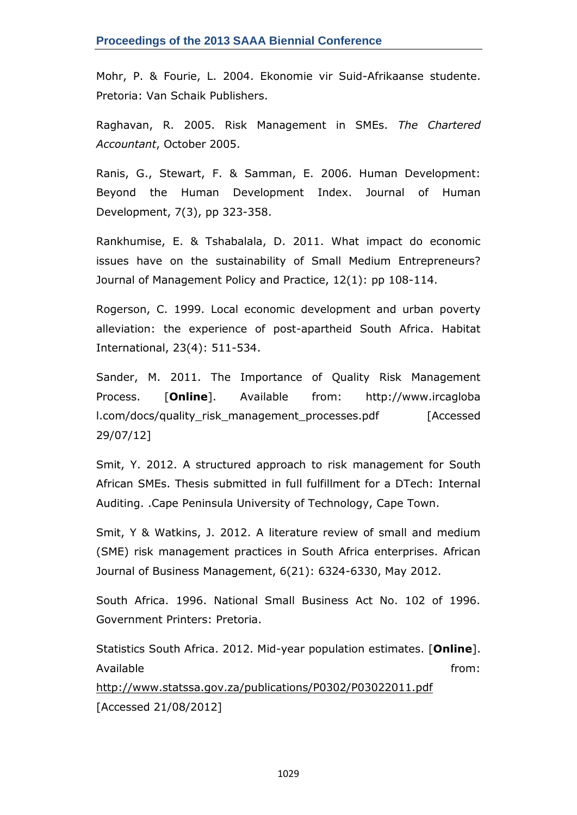Mohr, P. & Fourie, L. 2004. Ekonomie vir Suid-Afrikaanse studente. Pretoria: Van Schaik Publishers.

Raghavan, R. 2005. Risk Management in SMEs. *The Chartered Accountant*, October 2005.

Ranis, G., Stewart, F. & Samman, E. 2006. Human Development: Beyond the Human Development Index. Journal of Human Development, 7(3), pp 323-358.

Rankhumise, E. & Tshabalala, D. 2011. What impact do economic issues have on the sustainability of Small Medium Entrepreneurs? Journal of Management Policy and Practice, 12(1): pp 108-114.

Rogerson, C. 1999. Local economic development and urban poverty alleviation: the experience of post-apartheid South Africa. Habitat International, 23(4): 511-534.

Sander, M. 2011. The Importance of Quality Risk Management Process. [**Online**]. Available from: http://www.ircagloba l.com/docs/quality\_risk\_management\_processes.pdf [Accessed 29/07/12]

Smit, Y. 2012. A structured approach to risk management for South African SMEs. Thesis submitted in full fulfillment for a DTech: Internal Auditing. .Cape Peninsula University of Technology, Cape Town.

Smit, Y & Watkins, J. 2012. A literature review of small and medium (SME) risk management practices in South Africa enterprises. African Journal of Business Management, 6(21): 6324-6330, May 2012.

South Africa. 1996. National Small Business Act No. 102 of 1996. Government Printers: Pretoria.

Statistics South Africa. 2012. Mid-year population estimates. [**Online**]. Available from: the from: the from: the from: the from: the from: the from: the from: the from: the from: the from: the from: the from: the from: the from: the from: the from: the from: the from: the from: the from: the fr <http://www.statssa.gov.za/publications/P0302/P03022011.pdf> [Accessed 21/08/2012]